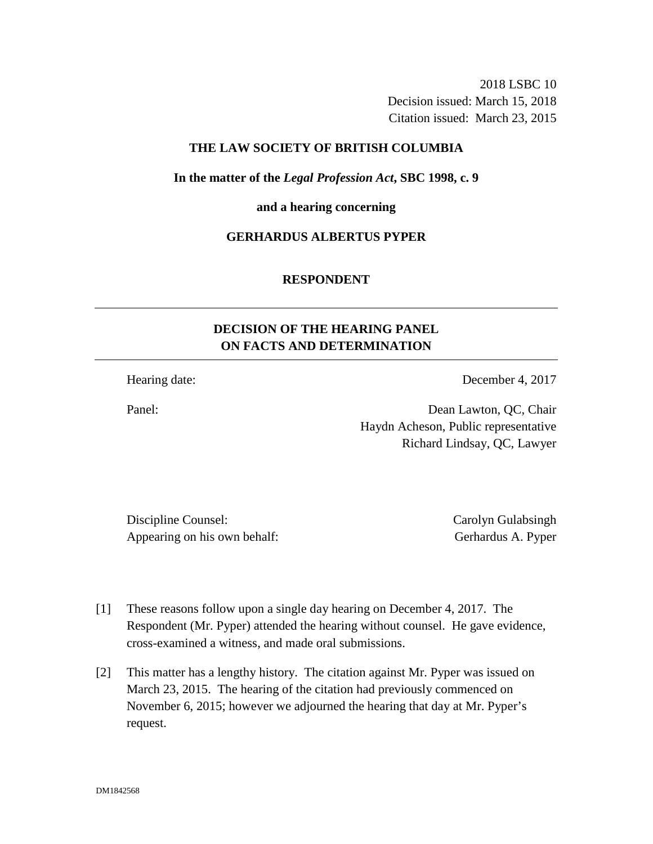2018 LSBC 10 Decision issued: March 15, 2018 Citation issued: March 23, 2015

## **THE LAW SOCIETY OF BRITISH COLUMBIA**

**In the matter of the** *Legal Profession Act***, SBC 1998, c. 9** 

**and a hearing concerning**

## **GERHARDUS ALBERTUS PYPER**

## **RESPONDENT**

# **DECISION OF THE HEARING PANEL ON FACTS AND DETERMINATION**

Hearing date: December 4, 2017

Panel: Dean Lawton, QC, Chair Haydn Acheson, Public representative Richard Lindsay, QC, Lawyer

Discipline Counsel: Carolyn Gulabsingh Carolyn Gulabsingh Appearing on his own behalf: Gerhardus A. Pyper

- [1] These reasons follow upon a single day hearing on December 4, 2017. The Respondent (Mr. Pyper) attended the hearing without counsel. He gave evidence, cross-examined a witness, and made oral submissions.
- [2] This matter has a lengthy history. The citation against Mr. Pyper was issued on March 23, 2015. The hearing of the citation had previously commenced on November 6, 2015; however we adjourned the hearing that day at Mr. Pyper's request.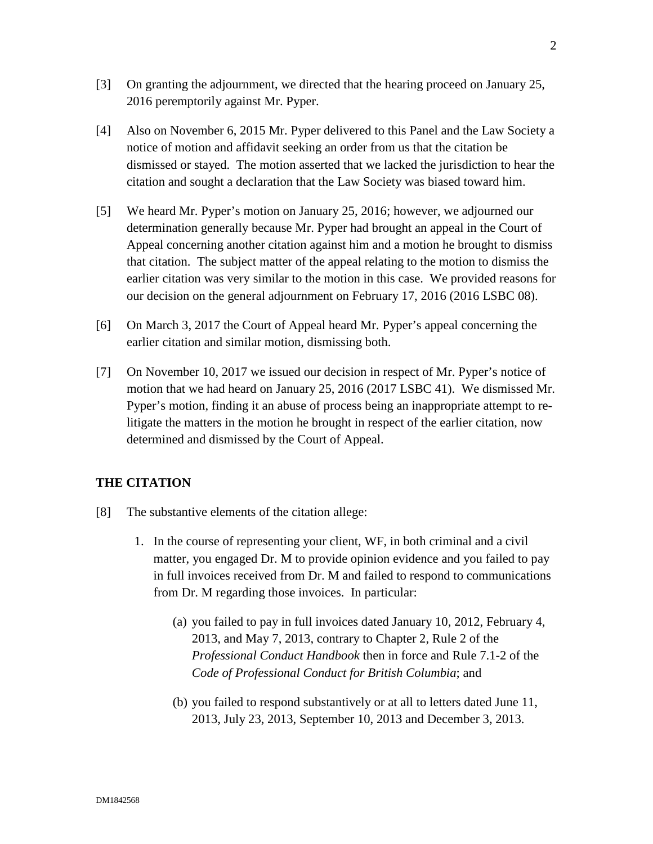- [3] On granting the adjournment, we directed that the hearing proceed on January 25, 2016 peremptorily against Mr. Pyper.
- [4] Also on November 6, 2015 Mr. Pyper delivered to this Panel and the Law Society a notice of motion and affidavit seeking an order from us that the citation be dismissed or stayed. The motion asserted that we lacked the jurisdiction to hear the citation and sought a declaration that the Law Society was biased toward him.
- [5] We heard Mr. Pyper's motion on January 25, 2016; however, we adjourned our determination generally because Mr. Pyper had brought an appeal in the Court of Appeal concerning another citation against him and a motion he brought to dismiss that citation. The subject matter of the appeal relating to the motion to dismiss the earlier citation was very similar to the motion in this case. We provided reasons for our decision on the general adjournment on February 17, 2016 (2016 LSBC 08).
- [6] On March 3, 2017 the Court of Appeal heard Mr. Pyper's appeal concerning the earlier citation and similar motion, dismissing both.
- [7] On November 10, 2017 we issued our decision in respect of Mr. Pyper's notice of motion that we had heard on January 25, 2016 (2017 LSBC 41). We dismissed Mr. Pyper's motion, finding it an abuse of process being an inappropriate attempt to relitigate the matters in the motion he brought in respect of the earlier citation, now determined and dismissed by the Court of Appeal.

## **THE CITATION**

- [8] The substantive elements of the citation allege:
	- 1. In the course of representing your client, WF, in both criminal and a civil matter, you engaged Dr. M to provide opinion evidence and you failed to pay in full invoices received from Dr. M and failed to respond to communications from Dr. M regarding those invoices. In particular:
		- (a) you failed to pay in full invoices dated January 10, 2012, February 4, 2013, and May 7, 2013, contrary to Chapter 2, Rule 2 of the *Professional Conduct Handbook* then in force and Rule 7.1-2 of the *Code of Professional Conduct for British Columbia*; and
		- (b) you failed to respond substantively or at all to letters dated June 11, 2013, July 23, 2013, September 10, 2013 and December 3, 2013.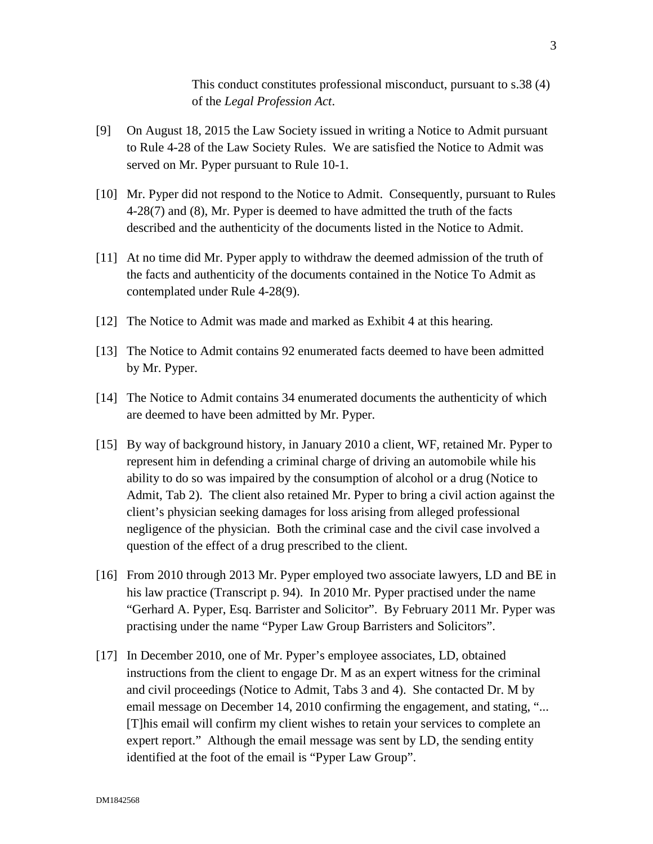This conduct constitutes professional misconduct, pursuant to s.38 (4) of the *Legal Profession Act*.

- [9] On August 18, 2015 the Law Society issued in writing a Notice to Admit pursuant to Rule 4-28 of the Law Society Rules. We are satisfied the Notice to Admit was served on Mr. Pyper pursuant to Rule 10-1.
- [10] Mr. Pyper did not respond to the Notice to Admit. Consequently, pursuant to Rules 4-28(7) and (8), Mr. Pyper is deemed to have admitted the truth of the facts described and the authenticity of the documents listed in the Notice to Admit.
- [11] At no time did Mr. Pyper apply to withdraw the deemed admission of the truth of the facts and authenticity of the documents contained in the Notice To Admit as contemplated under Rule 4-28(9).
- [12] The Notice to Admit was made and marked as Exhibit 4 at this hearing.
- [13] The Notice to Admit contains 92 enumerated facts deemed to have been admitted by Mr. Pyper.
- [14] The Notice to Admit contains 34 enumerated documents the authenticity of which are deemed to have been admitted by Mr. Pyper.
- [15] By way of background history, in January 2010 a client, WF, retained Mr. Pyper to represent him in defending a criminal charge of driving an automobile while his ability to do so was impaired by the consumption of alcohol or a drug (Notice to Admit, Tab 2). The client also retained Mr. Pyper to bring a civil action against the client's physician seeking damages for loss arising from alleged professional negligence of the physician. Both the criminal case and the civil case involved a question of the effect of a drug prescribed to the client.
- [16] From 2010 through 2013 Mr. Pyper employed two associate lawyers, LD and BE in his law practice (Transcript p. 94). In 2010 Mr. Pyper practised under the name "Gerhard A. Pyper, Esq. Barrister and Solicitor". By February 2011 Mr. Pyper was practising under the name "Pyper Law Group Barristers and Solicitors".
- [17] In December 2010, one of Mr. Pyper's employee associates, LD, obtained instructions from the client to engage Dr. M as an expert witness for the criminal and civil proceedings (Notice to Admit, Tabs 3 and 4). She contacted Dr. M by email message on December 14, 2010 confirming the engagement, and stating, "... [T]his email will confirm my client wishes to retain your services to complete an expert report." Although the email message was sent by LD, the sending entity identified at the foot of the email is "Pyper Law Group".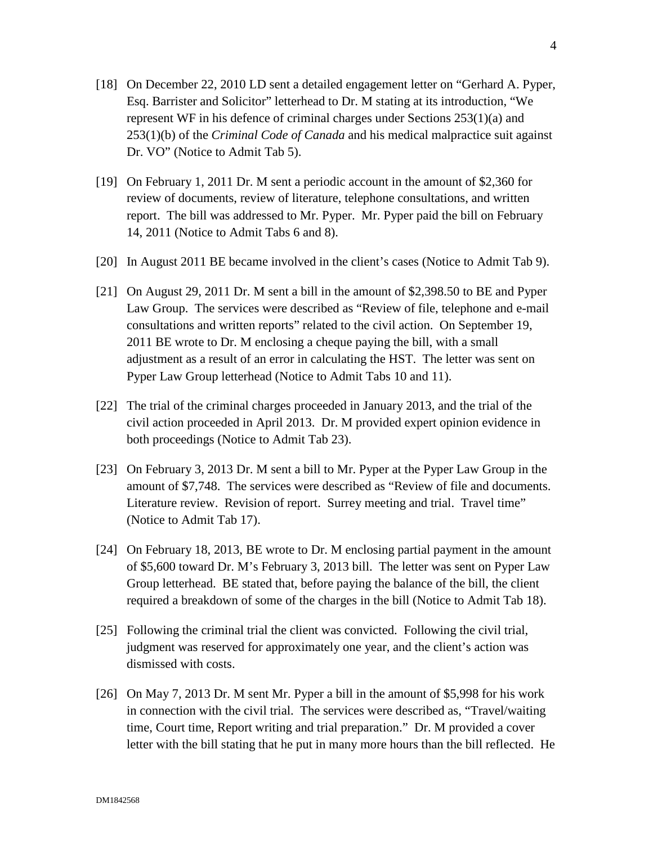- [18] On December 22, 2010 LD sent a detailed engagement letter on "Gerhard A. Pyper, Esq. Barrister and Solicitor" letterhead to Dr. M stating at its introduction, "We represent WF in his defence of criminal charges under Sections 253(1)(a) and 253(1)(b) of the *Criminal Code of Canada* and his medical malpractice suit against Dr. VO" (Notice to Admit Tab 5).
- [19] On February 1, 2011 Dr. M sent a periodic account in the amount of \$2,360 for review of documents, review of literature, telephone consultations, and written report. The bill was addressed to Mr. Pyper. Mr. Pyper paid the bill on February 14, 2011 (Notice to Admit Tabs 6 and 8).
- [20] In August 2011 BE became involved in the client's cases (Notice to Admit Tab 9).
- [21] On August 29, 2011 Dr. M sent a bill in the amount of \$2,398.50 to BE and Pyper Law Group. The services were described as "Review of file, telephone and e-mail consultations and written reports" related to the civil action. On September 19, 2011 BE wrote to Dr. M enclosing a cheque paying the bill, with a small adjustment as a result of an error in calculating the HST. The letter was sent on Pyper Law Group letterhead (Notice to Admit Tabs 10 and 11).
- [22] The trial of the criminal charges proceeded in January 2013, and the trial of the civil action proceeded in April 2013. Dr. M provided expert opinion evidence in both proceedings (Notice to Admit Tab 23).
- [23] On February 3, 2013 Dr. M sent a bill to Mr. Pyper at the Pyper Law Group in the amount of \$7,748. The services were described as "Review of file and documents. Literature review. Revision of report. Surrey meeting and trial. Travel time" (Notice to Admit Tab 17).
- [24] On February 18, 2013, BE wrote to Dr. M enclosing partial payment in the amount of \$5,600 toward Dr. M's February 3, 2013 bill. The letter was sent on Pyper Law Group letterhead. BE stated that, before paying the balance of the bill, the client required a breakdown of some of the charges in the bill (Notice to Admit Tab 18).
- [25] Following the criminal trial the client was convicted. Following the civil trial, judgment was reserved for approximately one year, and the client's action was dismissed with costs.
- [26] On May 7, 2013 Dr. M sent Mr. Pyper a bill in the amount of \$5,998 for his work in connection with the civil trial. The services were described as, "Travel/waiting time, Court time, Report writing and trial preparation." Dr. M provided a cover letter with the bill stating that he put in many more hours than the bill reflected. He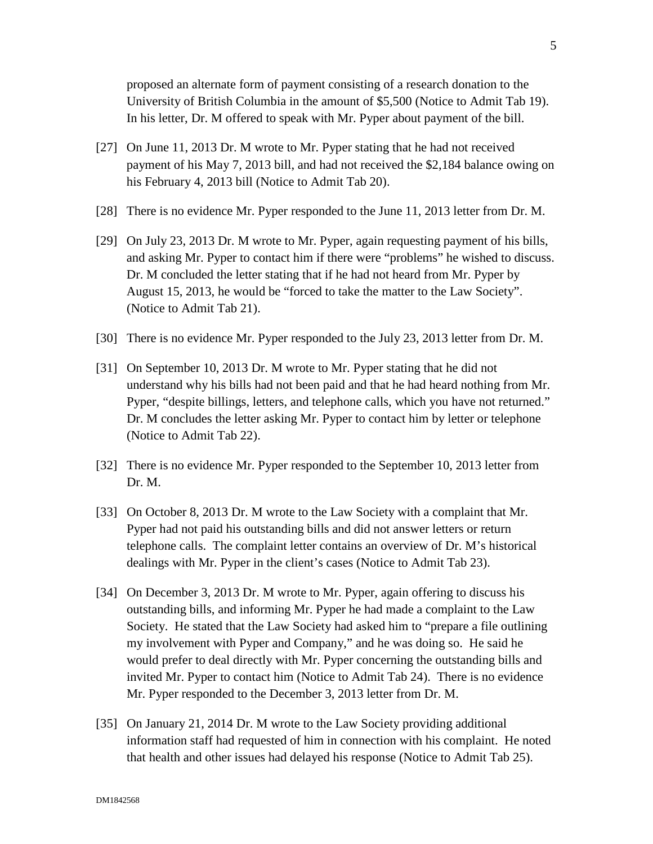proposed an alternate form of payment consisting of a research donation to the University of British Columbia in the amount of \$5,500 (Notice to Admit Tab 19). In his letter, Dr. M offered to speak with Mr. Pyper about payment of the bill.

- [27] On June 11, 2013 Dr. M wrote to Mr. Pyper stating that he had not received payment of his May 7, 2013 bill, and had not received the \$2,184 balance owing on his February 4, 2013 bill (Notice to Admit Tab 20).
- [28] There is no evidence Mr. Pyper responded to the June 11, 2013 letter from Dr. M.
- [29] On July 23, 2013 Dr. M wrote to Mr. Pyper, again requesting payment of his bills, and asking Mr. Pyper to contact him if there were "problems" he wished to discuss. Dr. M concluded the letter stating that if he had not heard from Mr. Pyper by August 15, 2013, he would be "forced to take the matter to the Law Society". (Notice to Admit Tab 21).
- [30] There is no evidence Mr. Pyper responded to the July 23, 2013 letter from Dr. M.
- [31] On September 10, 2013 Dr. M wrote to Mr. Pyper stating that he did not understand why his bills had not been paid and that he had heard nothing from Mr. Pyper, "despite billings, letters, and telephone calls, which you have not returned." Dr. M concludes the letter asking Mr. Pyper to contact him by letter or telephone (Notice to Admit Tab 22).
- [32] There is no evidence Mr. Pyper responded to the September 10, 2013 letter from Dr. M.
- [33] On October 8, 2013 Dr. M wrote to the Law Society with a complaint that Mr. Pyper had not paid his outstanding bills and did not answer letters or return telephone calls. The complaint letter contains an overview of Dr. M's historical dealings with Mr. Pyper in the client's cases (Notice to Admit Tab 23).
- [34] On December 3, 2013 Dr. M wrote to Mr. Pyper, again offering to discuss his outstanding bills, and informing Mr. Pyper he had made a complaint to the Law Society. He stated that the Law Society had asked him to "prepare a file outlining my involvement with Pyper and Company," and he was doing so. He said he would prefer to deal directly with Mr. Pyper concerning the outstanding bills and invited Mr. Pyper to contact him (Notice to Admit Tab 24). There is no evidence Mr. Pyper responded to the December 3, 2013 letter from Dr. M.
- [35] On January 21, 2014 Dr. M wrote to the Law Society providing additional information staff had requested of him in connection with his complaint. He noted that health and other issues had delayed his response (Notice to Admit Tab 25).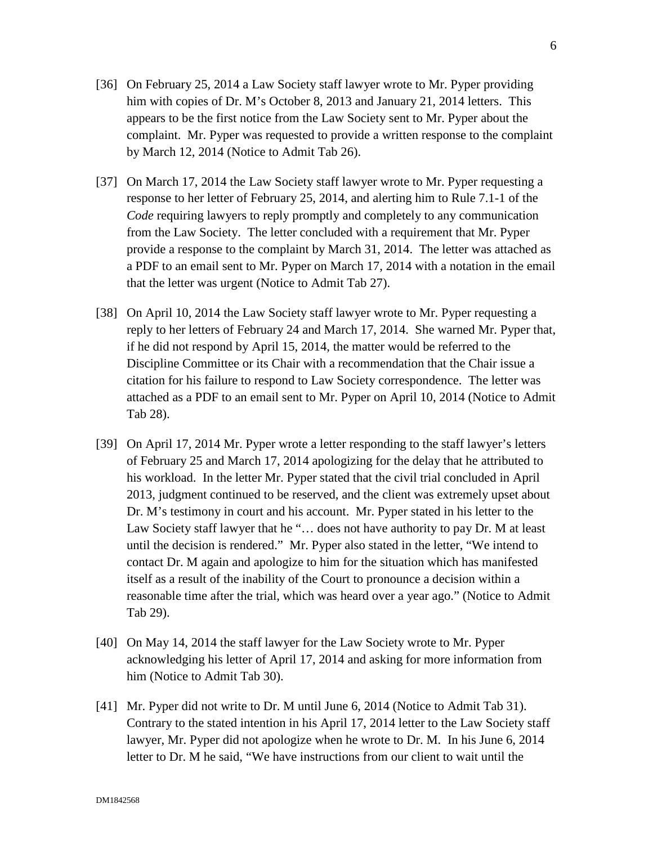- [36] On February 25, 2014 a Law Society staff lawyer wrote to Mr. Pyper providing him with copies of Dr. M's October 8, 2013 and January 21, 2014 letters. This appears to be the first notice from the Law Society sent to Mr. Pyper about the complaint. Mr. Pyper was requested to provide a written response to the complaint by March 12, 2014 (Notice to Admit Tab 26).
- [37] On March 17, 2014 the Law Society staff lawyer wrote to Mr. Pyper requesting a response to her letter of February 25, 2014, and alerting him to Rule 7.1-1 of the *Code* requiring lawyers to reply promptly and completely to any communication from the Law Society. The letter concluded with a requirement that Mr. Pyper provide a response to the complaint by March 31, 2014. The letter was attached as a PDF to an email sent to Mr. Pyper on March 17, 2014 with a notation in the email that the letter was urgent (Notice to Admit Tab 27).
- [38] On April 10, 2014 the Law Society staff lawyer wrote to Mr. Pyper requesting a reply to her letters of February 24 and March 17, 2014. She warned Mr. Pyper that, if he did not respond by April 15, 2014, the matter would be referred to the Discipline Committee or its Chair with a recommendation that the Chair issue a citation for his failure to respond to Law Society correspondence. The letter was attached as a PDF to an email sent to Mr. Pyper on April 10, 2014 (Notice to Admit Tab 28).
- [39] On April 17, 2014 Mr. Pyper wrote a letter responding to the staff lawyer's letters of February 25 and March 17, 2014 apologizing for the delay that he attributed to his workload. In the letter Mr. Pyper stated that the civil trial concluded in April 2013, judgment continued to be reserved, and the client was extremely upset about Dr. M's testimony in court and his account. Mr. Pyper stated in his letter to the Law Society staff lawyer that he "... does not have authority to pay Dr. M at least until the decision is rendered." Mr. Pyper also stated in the letter, "We intend to contact Dr. M again and apologize to him for the situation which has manifested itself as a result of the inability of the Court to pronounce a decision within a reasonable time after the trial, which was heard over a year ago." (Notice to Admit Tab 29).
- [40] On May 14, 2014 the staff lawyer for the Law Society wrote to Mr. Pyper acknowledging his letter of April 17, 2014 and asking for more information from him (Notice to Admit Tab 30).
- [41] Mr. Pyper did not write to Dr. M until June 6, 2014 (Notice to Admit Tab 31). Contrary to the stated intention in his April 17, 2014 letter to the Law Society staff lawyer, Mr. Pyper did not apologize when he wrote to Dr. M. In his June 6, 2014 letter to Dr. M he said, "We have instructions from our client to wait until the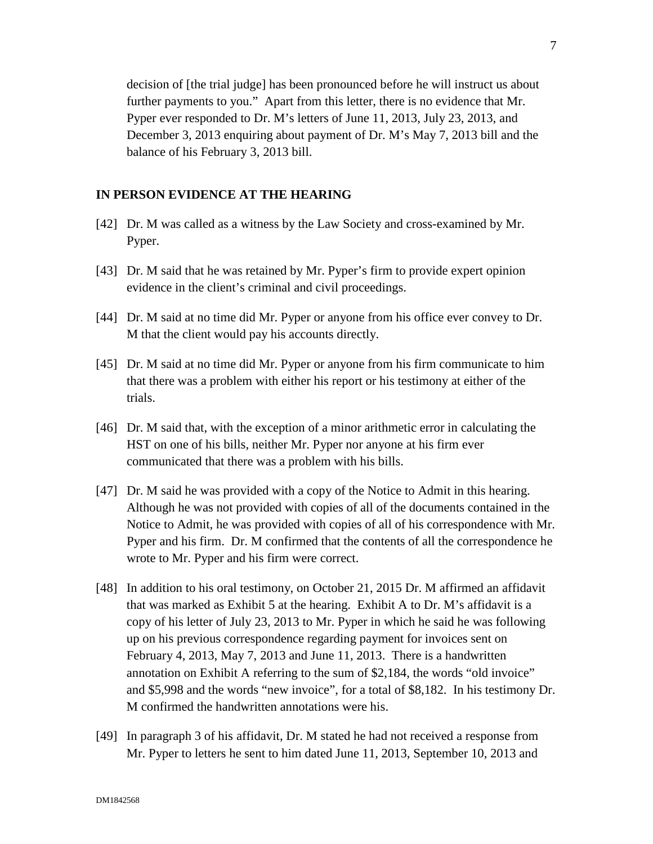decision of [the trial judge] has been pronounced before he will instruct us about further payments to you." Apart from this letter, there is no evidence that Mr. Pyper ever responded to Dr. M's letters of June 11, 2013, July 23, 2013, and December 3, 2013 enquiring about payment of Dr. M's May 7, 2013 bill and the balance of his February 3, 2013 bill.

#### **IN PERSON EVIDENCE AT THE HEARING**

- [42] Dr. M was called as a witness by the Law Society and cross-examined by Mr. Pyper.
- [43] Dr. M said that he was retained by Mr. Pyper's firm to provide expert opinion evidence in the client's criminal and civil proceedings.
- [44] Dr. M said at no time did Mr. Pyper or anyone from his office ever convey to Dr. M that the client would pay his accounts directly.
- [45] Dr. M said at no time did Mr. Pyper or anyone from his firm communicate to him that there was a problem with either his report or his testimony at either of the trials.
- [46] Dr. M said that, with the exception of a minor arithmetic error in calculating the HST on one of his bills, neither Mr. Pyper nor anyone at his firm ever communicated that there was a problem with his bills.
- [47] Dr. M said he was provided with a copy of the Notice to Admit in this hearing. Although he was not provided with copies of all of the documents contained in the Notice to Admit, he was provided with copies of all of his correspondence with Mr. Pyper and his firm. Dr. M confirmed that the contents of all the correspondence he wrote to Mr. Pyper and his firm were correct.
- [48] In addition to his oral testimony, on October 21, 2015 Dr. M affirmed an affidavit that was marked as Exhibit 5 at the hearing. Exhibit A to Dr. M's affidavit is a copy of his letter of July 23, 2013 to Mr. Pyper in which he said he was following up on his previous correspondence regarding payment for invoices sent on February 4, 2013, May 7, 2013 and June 11, 2013. There is a handwritten annotation on Exhibit A referring to the sum of \$2,184, the words "old invoice" and \$5,998 and the words "new invoice", for a total of \$8,182. In his testimony Dr. M confirmed the handwritten annotations were his.
- [49] In paragraph 3 of his affidavit, Dr. M stated he had not received a response from Mr. Pyper to letters he sent to him dated June 11, 2013, September 10, 2013 and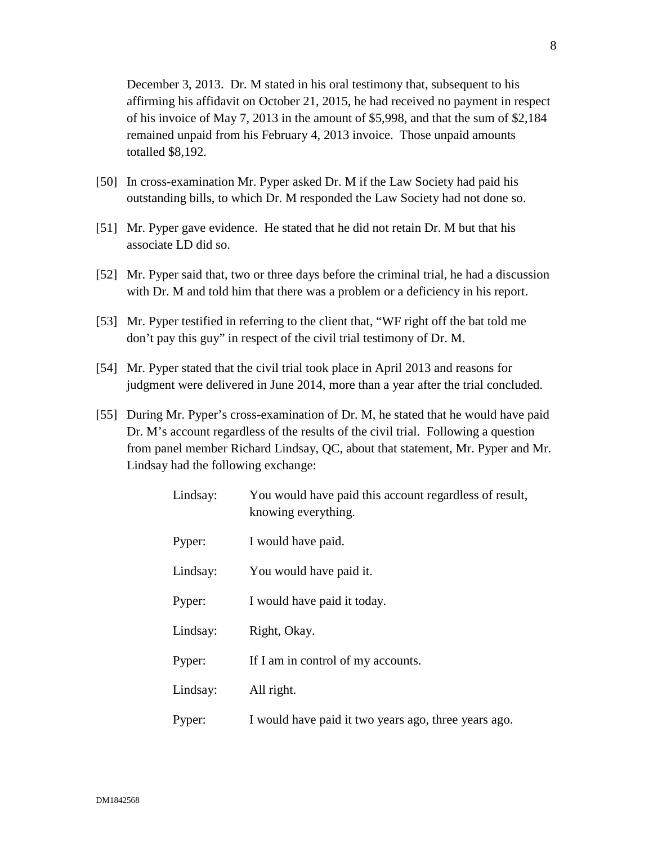December 3, 2013. Dr. M stated in his oral testimony that, subsequent to his affirming his affidavit on October 21, 2015, he had received no payment in respect of his invoice of May 7, 2013 in the amount of \$5,998, and that the sum of \$2,184 remained unpaid from his February 4, 2013 invoice. Those unpaid amounts totalled \$8,192.

- [50] In cross-examination Mr. Pyper asked Dr. M if the Law Society had paid his outstanding bills, to which Dr. M responded the Law Society had not done so.
- [51] Mr. Pyper gave evidence. He stated that he did not retain Dr. M but that his associate LD did so.
- [52] Mr. Pyper said that, two or three days before the criminal trial, he had a discussion with Dr. M and told him that there was a problem or a deficiency in his report.
- [53] Mr. Pyper testified in referring to the client that, "WF right off the bat told me don't pay this guy" in respect of the civil trial testimony of Dr. M.
- [54] Mr. Pyper stated that the civil trial took place in April 2013 and reasons for judgment were delivered in June 2014, more than a year after the trial concluded.
- [55] During Mr. Pyper's cross-examination of Dr. M, he stated that he would have paid Dr. M's account regardless of the results of the civil trial. Following a question from panel member Richard Lindsay, QC, about that statement, Mr. Pyper and Mr. Lindsay had the following exchange:

| Lindsay: | You would have paid this account regardless of result,<br>knowing everything. |
|----------|-------------------------------------------------------------------------------|
| Pyper:   | I would have paid.                                                            |
| Lindsay: | You would have paid it.                                                       |
| Pyper:   | I would have paid it today.                                                   |
| Lindsay: | Right, Okay.                                                                  |
| Pyper:   | If I am in control of my accounts.                                            |
| Lindsay: | All right.                                                                    |
| Pyper:   | I would have paid it two years ago, three years ago.                          |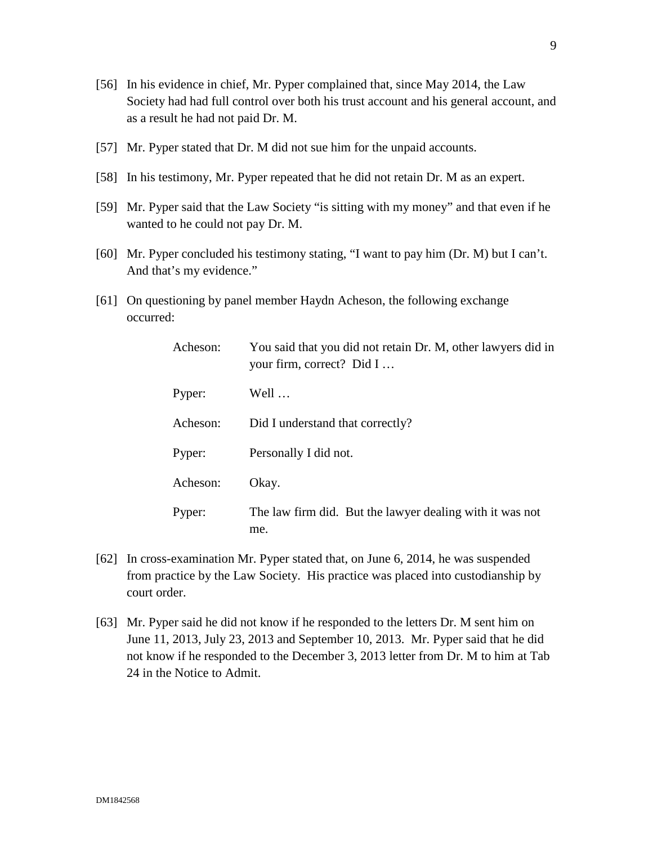- [56] In his evidence in chief, Mr. Pyper complained that, since May 2014, the Law Society had had full control over both his trust account and his general account, and as a result he had not paid Dr. M.
- [57] Mr. Pyper stated that Dr. M did not sue him for the unpaid accounts.
- [58] In his testimony, Mr. Pyper repeated that he did not retain Dr. M as an expert.
- [59] Mr. Pyper said that the Law Society "is sitting with my money" and that even if he wanted to he could not pay Dr. M.
- [60] Mr. Pyper concluded his testimony stating, "I want to pay him (Dr. M) but I can't. And that's my evidence."
- [61] On questioning by panel member Haydn Acheson, the following exchange occurred:

| Acheson: | You said that you did not retain Dr. M, other lawyers did in<br>your firm, correct? Did I |
|----------|-------------------------------------------------------------------------------------------|
| Pyper:   | Well                                                                                      |
| Acheson: | Did I understand that correctly?                                                          |
| Pyper:   | Personally I did not.                                                                     |
| Acheson: | Okay.                                                                                     |
| Pyper:   | The law firm did. But the lawyer dealing with it was not<br>me.                           |

- [62] In cross-examination Mr. Pyper stated that, on June 6, 2014, he was suspended from practice by the Law Society. His practice was placed into custodianship by court order.
- [63] Mr. Pyper said he did not know if he responded to the letters Dr. M sent him on June 11, 2013, July 23, 2013 and September 10, 2013. Mr. Pyper said that he did not know if he responded to the December 3, 2013 letter from Dr. M to him at Tab 24 in the Notice to Admit.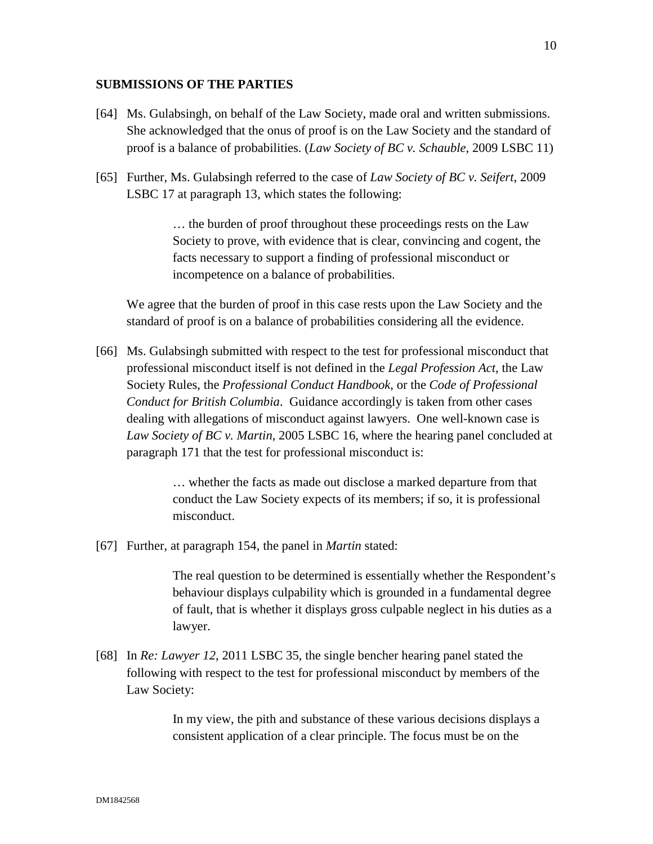## **SUBMISSIONS OF THE PARTIES**

- [64] Ms. Gulabsingh, on behalf of the Law Society, made oral and written submissions. She acknowledged that the onus of proof is on the Law Society and the standard of proof is a balance of probabilities. (*Law Society of BC v. Schauble*, 2009 LSBC 11)
- [65] Further, Ms. Gulabsingh referred to the case of *Law Society of BC v. Seifert*, 2009 LSBC 17 at paragraph 13, which states the following:

… the burden of proof throughout these proceedings rests on the Law Society to prove, with evidence that is clear, convincing and cogent, the facts necessary to support a finding of professional misconduct or incompetence on a balance of probabilities.

We agree that the burden of proof in this case rests upon the Law Society and the standard of proof is on a balance of probabilities considering all the evidence.

[66] Ms. Gulabsingh submitted with respect to the test for professional misconduct that professional misconduct itself is not defined in the *Legal Profession Act*, the Law Society Rules, the *Professional Conduct Handbook*, or the *Code of Professional Conduct for British Columbia*. Guidance accordingly is taken from other cases dealing with allegations of misconduct against lawyers. One well-known case is *Law Society of BC v. Martin*, 2005 LSBC 16, where the hearing panel concluded at paragraph 171 that the test for professional misconduct is:

> … whether the facts as made out disclose a marked departure from that conduct the Law Society expects of its members; if so, it is professional misconduct.

[67] Further, at paragraph 154, the panel in *Martin* stated:

The real question to be determined is essentially whether the Respondent's behaviour displays culpability which is grounded in a fundamental degree of fault, that is whether it displays gross culpable neglect in his duties as a lawyer.

[68] In *Re: Lawyer 12*, 2011 LSBC 35, the single bencher hearing panel stated the following with respect to the test for professional misconduct by members of the Law Society:

> In my view, the pith and substance of these various decisions displays a consistent application of a clear principle. The focus must be on the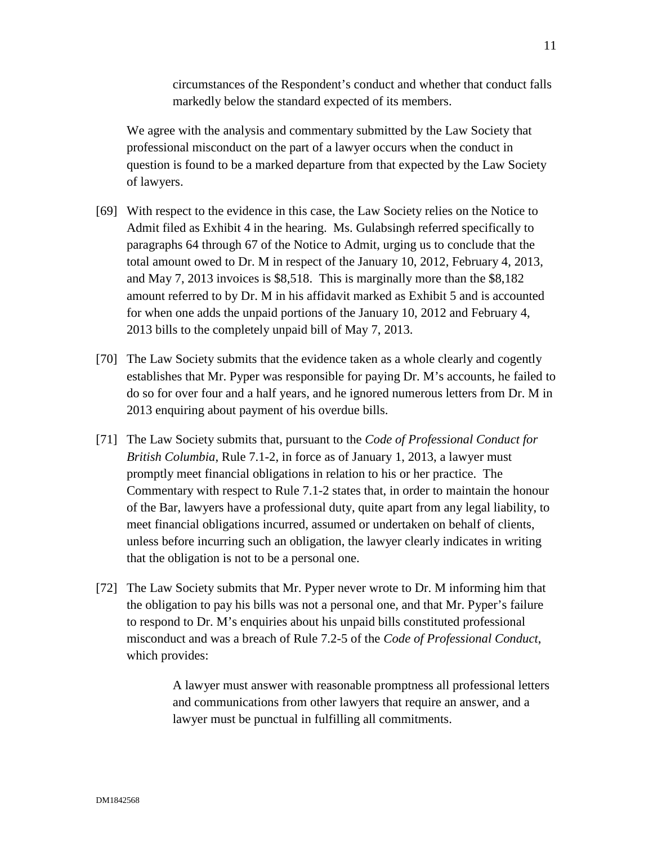circumstances of the Respondent's conduct and whether that conduct falls markedly below the standard expected of its members.

We agree with the analysis and commentary submitted by the Law Society that professional misconduct on the part of a lawyer occurs when the conduct in question is found to be a marked departure from that expected by the Law Society of lawyers.

- [69] With respect to the evidence in this case, the Law Society relies on the Notice to Admit filed as Exhibit 4 in the hearing. Ms. Gulabsingh referred specifically to paragraphs 64 through 67 of the Notice to Admit, urging us to conclude that the total amount owed to Dr. M in respect of the January 10, 2012, February 4, 2013, and May 7, 2013 invoices is \$8,518. This is marginally more than the \$8,182 amount referred to by Dr. M in his affidavit marked as Exhibit 5 and is accounted for when one adds the unpaid portions of the January 10, 2012 and February 4, 2013 bills to the completely unpaid bill of May 7, 2013.
- [70] The Law Society submits that the evidence taken as a whole clearly and cogently establishes that Mr. Pyper was responsible for paying Dr. M's accounts, he failed to do so for over four and a half years, and he ignored numerous letters from Dr. M in 2013 enquiring about payment of his overdue bills.
- [71] The Law Society submits that, pursuant to the *Code of Professional Conduct for British Columbia*, Rule 7.1-2, in force as of January 1, 2013, a lawyer must promptly meet financial obligations in relation to his or her practice. The Commentary with respect to Rule 7.1-2 states that, in order to maintain the honour of the Bar, lawyers have a professional duty, quite apart from any legal liability, to meet financial obligations incurred, assumed or undertaken on behalf of clients, unless before incurring such an obligation, the lawyer clearly indicates in writing that the obligation is not to be a personal one.
- [72] The Law Society submits that Mr. Pyper never wrote to Dr. M informing him that the obligation to pay his bills was not a personal one, and that Mr. Pyper's failure to respond to Dr. M's enquiries about his unpaid bills constituted professional misconduct and was a breach of Rule 7.2-5 of the *Code of Professional Conduct*, which provides:

A lawyer must answer with reasonable promptness all professional letters and communications from other lawyers that require an answer, and a lawyer must be punctual in fulfilling all commitments.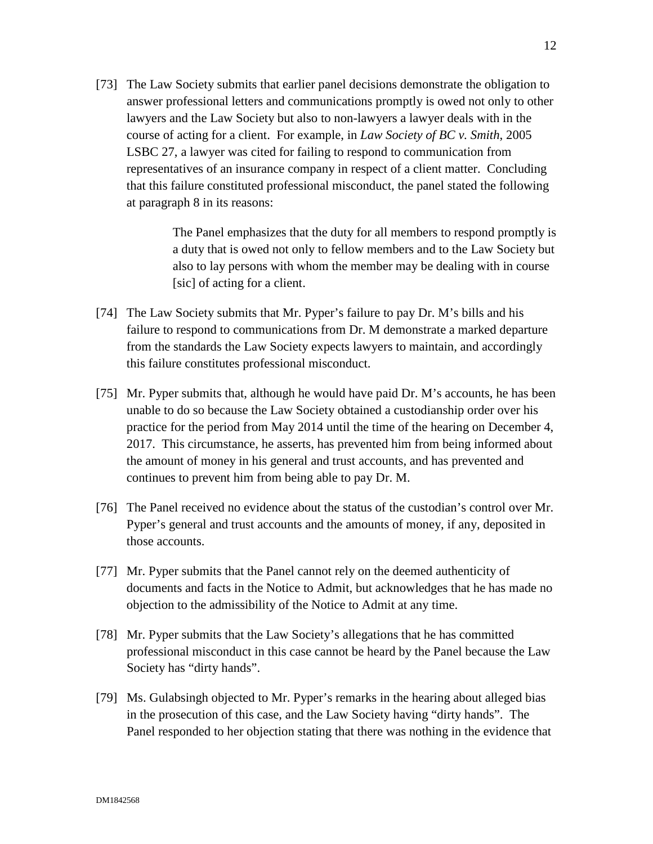[73] The Law Society submits that earlier panel decisions demonstrate the obligation to answer professional letters and communications promptly is owed not only to other lawyers and the Law Society but also to non-lawyers a lawyer deals with in the course of acting for a client. For example, in *Law Society of BC v. Smith*, 2005 LSBC 27, a lawyer was cited for failing to respond to communication from representatives of an insurance company in respect of a client matter. Concluding that this failure constituted professional misconduct, the panel stated the following at paragraph 8 in its reasons:

> The Panel emphasizes that the duty for all members to respond promptly is a duty that is owed not only to fellow members and to the Law Society but also to lay persons with whom the member may be dealing with in course [sic] of acting for a client.

- [74] The Law Society submits that Mr. Pyper's failure to pay Dr. M's bills and his failure to respond to communications from Dr. M demonstrate a marked departure from the standards the Law Society expects lawyers to maintain, and accordingly this failure constitutes professional misconduct.
- [75] Mr. Pyper submits that, although he would have paid Dr. M's accounts, he has been unable to do so because the Law Society obtained a custodianship order over his practice for the period from May 2014 until the time of the hearing on December 4, 2017. This circumstance, he asserts, has prevented him from being informed about the amount of money in his general and trust accounts, and has prevented and continues to prevent him from being able to pay Dr. M.
- [76] The Panel received no evidence about the status of the custodian's control over Mr. Pyper's general and trust accounts and the amounts of money, if any, deposited in those accounts.
- [77] Mr. Pyper submits that the Panel cannot rely on the deemed authenticity of documents and facts in the Notice to Admit, but acknowledges that he has made no objection to the admissibility of the Notice to Admit at any time.
- [78] Mr. Pyper submits that the Law Society's allegations that he has committed professional misconduct in this case cannot be heard by the Panel because the Law Society has "dirty hands".
- [79] Ms. Gulabsingh objected to Mr. Pyper's remarks in the hearing about alleged bias in the prosecution of this case, and the Law Society having "dirty hands". The Panel responded to her objection stating that there was nothing in the evidence that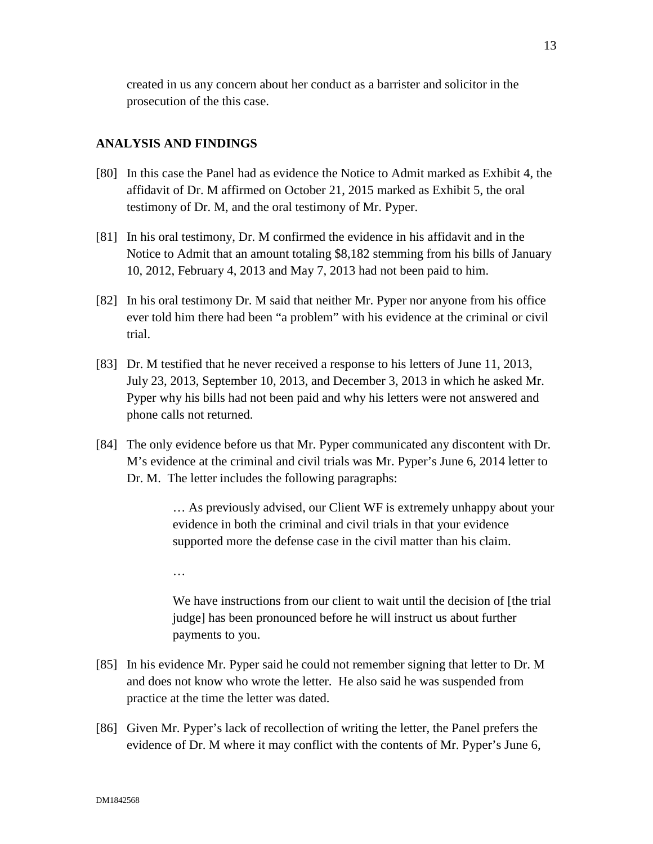created in us any concern about her conduct as a barrister and solicitor in the prosecution of the this case.

## **ANALYSIS AND FINDINGS**

- [80] In this case the Panel had as evidence the Notice to Admit marked as Exhibit 4, the affidavit of Dr. M affirmed on October 21, 2015 marked as Exhibit 5, the oral testimony of Dr. M, and the oral testimony of Mr. Pyper.
- [81] In his oral testimony, Dr. M confirmed the evidence in his affidavit and in the Notice to Admit that an amount totaling \$8,182 stemming from his bills of January 10, 2012, February 4, 2013 and May 7, 2013 had not been paid to him.
- [82] In his oral testimony Dr. M said that neither Mr. Pyper nor anyone from his office ever told him there had been "a problem" with his evidence at the criminal or civil trial.
- [83] Dr. M testified that he never received a response to his letters of June 11, 2013, July 23, 2013, September 10, 2013, and December 3, 2013 in which he asked Mr. Pyper why his bills had not been paid and why his letters were not answered and phone calls not returned.
- [84] The only evidence before us that Mr. Pyper communicated any discontent with Dr. M's evidence at the criminal and civil trials was Mr. Pyper's June 6, 2014 letter to Dr. M. The letter includes the following paragraphs:

… As previously advised, our Client WF is extremely unhappy about your evidence in both the criminal and civil trials in that your evidence supported more the defense case in the civil matter than his claim.

…

We have instructions from our client to wait until the decision of [the trial judge] has been pronounced before he will instruct us about further payments to you.

- [85] In his evidence Mr. Pyper said he could not remember signing that letter to Dr. M and does not know who wrote the letter. He also said he was suspended from practice at the time the letter was dated.
- [86] Given Mr. Pyper's lack of recollection of writing the letter, the Panel prefers the evidence of Dr. M where it may conflict with the contents of Mr. Pyper's June 6,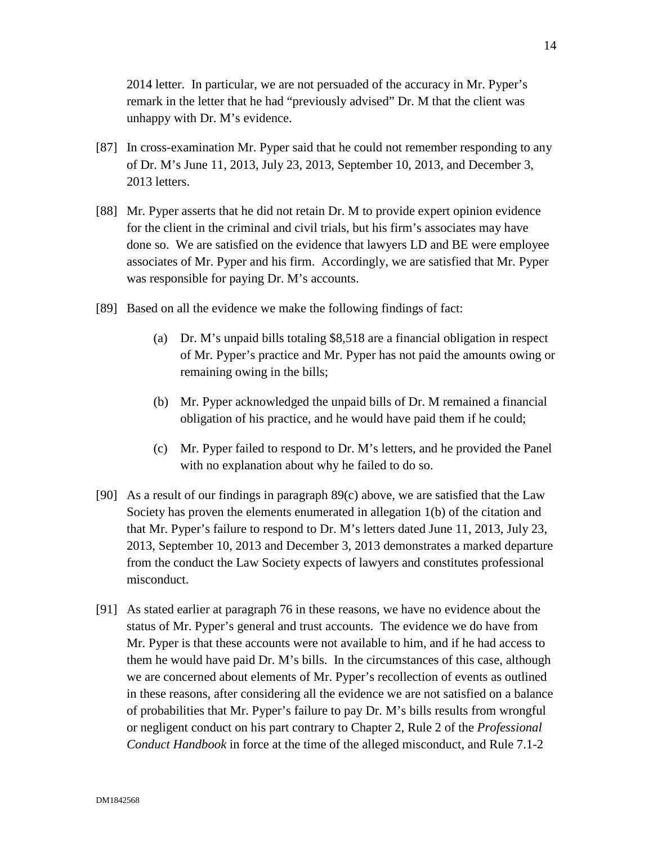2014 letter. In particular, we are not persuaded of the accuracy in Mr. Pyper's remark in the letter that he had "previously advised" Dr. M that the client was unhappy with Dr. M's evidence.

- [87] In cross-examination Mr. Pyper said that he could not remember responding to any of Dr. M's June 11, 2013, July 23, 2013, September 10, 2013, and December 3, 2013 letters.
- [88] Mr. Pyper asserts that he did not retain Dr. M to provide expert opinion evidence for the client in the criminal and civil trials, but his firm's associates may have done so. We are satisfied on the evidence that lawyers LD and BE were employee associates of Mr. Pyper and his firm. Accordingly, we are satisfied that Mr. Pyper was responsible for paying Dr. M's accounts.
- [89] Based on all the evidence we make the following findings of fact:
	- (a) Dr. M's unpaid bills totaling \$8,518 are a financial obligation in respect of Mr. Pyper's practice and Mr. Pyper has not paid the amounts owing or remaining owing in the bills;
	- (b) Mr. Pyper acknowledged the unpaid bills of Dr. M remained a financial obligation of his practice, and he would have paid them if he could;
	- (c) Mr. Pyper failed to respond to Dr. M's letters, and he provided the Panel with no explanation about why he failed to do so.
- [90] As a result of our findings in paragraph 89(c) above, we are satisfied that the Law Society has proven the elements enumerated in allegation 1(b) of the citation and that Mr. Pyper's failure to respond to Dr. M's letters dated June 11, 2013, July 23, 2013, September 10, 2013 and December 3, 2013 demonstrates a marked departure from the conduct the Law Society expects of lawyers and constitutes professional misconduct.
- [91] As stated earlier at paragraph 76 in these reasons, we have no evidence about the status of Mr. Pyper's general and trust accounts. The evidence we do have from Mr. Pyper is that these accounts were not available to him, and if he had access to them he would have paid Dr. M's bills. In the circumstances of this case, although we are concerned about elements of Mr. Pyper's recollection of events as outlined in these reasons, after considering all the evidence we are not satisfied on a balance of probabilities that Mr. Pyper's failure to pay Dr. M's bills results from wrongful or negligent conduct on his part contrary to Chapter 2, Rule 2 of the *Professional Conduct Handbook* in force at the time of the alleged misconduct, and Rule 7.1-2